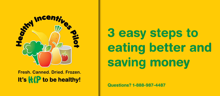

Fresh, Canned, Dried, Frozen. It's **KP** to be healthy!

# 3 easy steps to eating better and saving money

**Questions? 1-888-987-4487**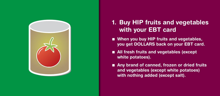

## 1. Buy HIP fruits and vegetables with your EBT card

- $\blacksquare$  When you buy HIP fruits and vegetables, you get DOLLARS back on your EBT card.
- $\blacksquare$  All fresh fruits and vegetables (except white potatoes).
- Any brand of canned, frozen or dried fruits and vegetables (except white potatoes) with nothing added (except salt).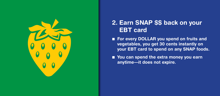

## 2. Earn SNAP \$\$ back on your EBT card

■ For every DOLLAR you spend on fruits and vegetables, you get 30 cents instantly on your EBT card to spend on any SNAP foods.

■ You can spend the extra money you earn anytime—it does not expire.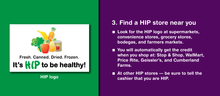

Fresh. Canned. Dried. Frozen. It's  $\mathbf{H}(\mathbf{P})$  to be healthy!

#### 3. Find a HIP store near you

- **n** Look for the HIP logo at supermarkets, convenience stores, grocery stores, bodegas, and farmers markets.
- You will automatically get the credit when you shop at: Stop & Shop, WalMart, Price Rite, Geissler's, and Cumberland Farms.
- $\blacksquare$  At other HIP stores be sure to tell the HIP logo cashier that you are HIP.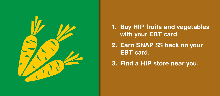

1. Buy HIP fruits and vegetables with your EBT card.

2. Earn SNAP \$\$ back on your EBT card.

3. Find a HIP store near you.